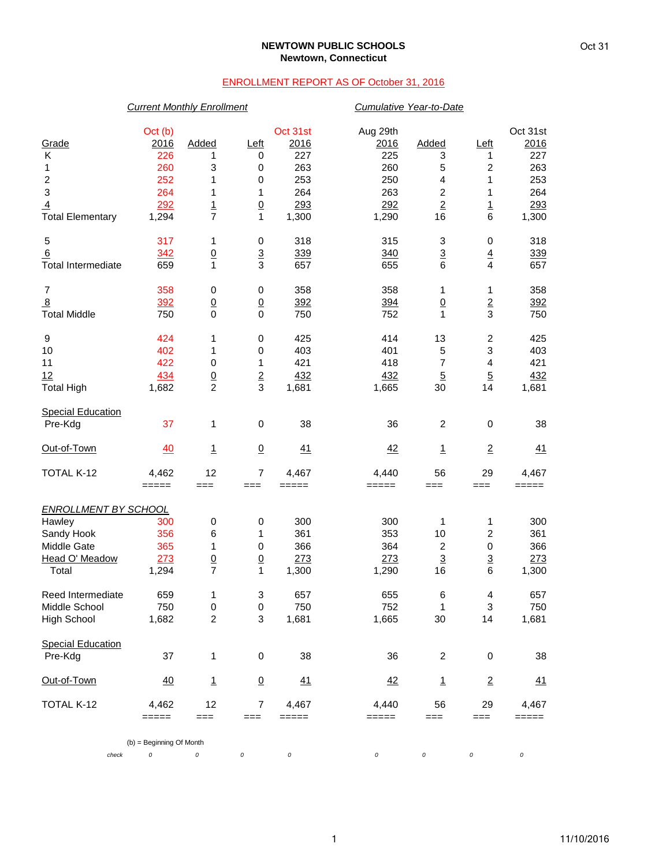#### **NEWTOWN PUBLIC SCHOOLS Newtown, Connecticut**

### ENROLLMENT REPORT AS OF October 31, 2016

# *Current Monthly Enrollment Cumulative Year-to-Date* Oct (b) Oct 31st Aug 29th Oct 31st Grade 2016 Added Left 2016 2016 Added Left 2016 K 226 1 0 227 225 3 1 227 1 260 3 0 263 260 5 2 263 2 252 1 0 253 250 4 1 253 3 264 1 1 264 263 2 1 264 <u>4</u> 292 1 0 293 292 2 1 293 Total Elementary 1,294 7 1 1,300 1,290 16 6 1,300 5 317 1 0 318 315 3 0 318 <u>6 339 340 3 339</u> Total Intermediate 659 1 3 657 655 6 4 657 7 358 0 0 358 358 1 1 358 <u>8 392 0 392 394 0 2 392</u> Total Middle 750 0 0 750 752 1 3 750 9 424 1 0 425 414 13 2 425 10 402 1 0 403 401 5 3 403 11 422 0 1 421 418 7 4 421 12 434 0 2 432 432 5 5 432 Total High 1,682 2 3 1,681 1,665 30 14 1,681 **Special Education**  Pre-Kdg 37 1 0 38 36 2 0 38 <u>Out-of-Town 40 1 0 41</u> <u>42</u> <u>1</u> <u>2</u> <u>41</u> TOTAL K-12 4,462 12 7 4,467 4,440 56 29 4,467 ===== === === ===== ===== === === ===== *ENROLLMENT BY SCHOOL* Hawley 300 0 0 300 300 1 1 300 Sandy Hook 356 6 1 361 353 10 2 361 Middle Gate 365 1 0 366 364 2 0 366 Head O' Meadow 273 0 0 273 273 3 3 273 Total 1,294 7 1 1,300 1,290 16 6 1,300 Reed Intermediate  $\begin{array}{cccccccc} 659 & 1 & 3 & 657 & 655 & 6 & 4 & 657 \\ 1000 & 657 & 657 & 657 & 657 & 657 & 657 \\ 11000 & 657 & 657 & 657 & 657 & 667 \\ 12000 & 657 & 657 & 657 & 667 & 667 \\ 13000 & 657 & 657 & 657 & 667 & 667 \\ 14000 & 657 & 657 & 657 & 667 & 667$ Middle School 750 0 0 750 752 1 3 750 High School 1,682 2 3 1,681 1,665 30 14 1,681 Special Education<br>Pre-Kdg Pre-Kdg 37 1 0 38 36 2 0 38 <u>Out-of-Town 40 1 0 41</u> <u>42</u> <u>1</u> <u>2</u> <u>41</u> TOTAL K-12 4,462 12 7 4,467 4,440 56 29 4,467 ===== === === ===== ===== === === ===== (b) = Beginning Of Month

*check 0 0 0 0 0 0 0 0*